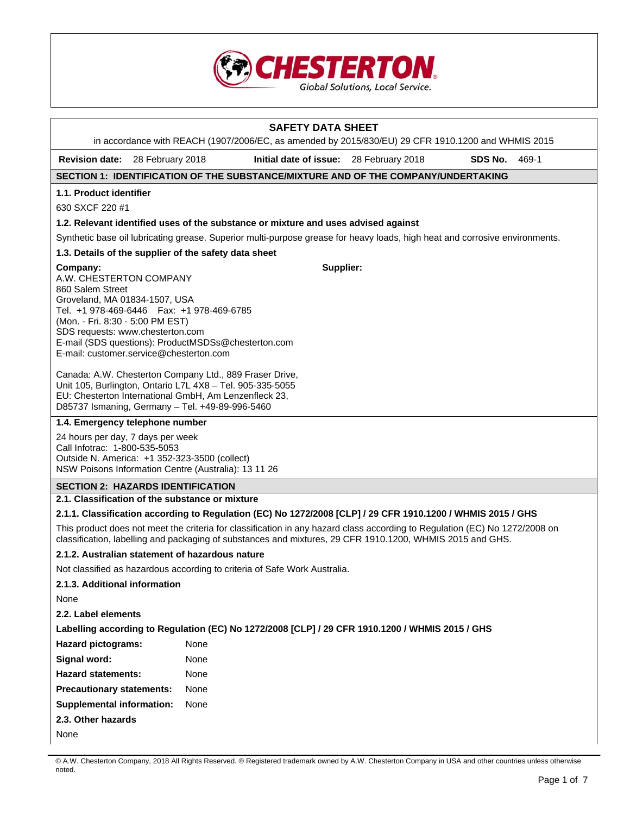

# **SAFETY DATA SHEET**  in accordance with REACH (1907/2006/EC, as amended by 2015/830/EU) 29 CFR 1910.1200 and WHMIS 2015 **Revision date:** 28 February 2018 **Initial date of issue:** 28 February 2018 **SDS No.** 469-1 **SECTION 1: IDENTIFICATION OF THE SUBSTANCE/MIXTURE AND OF THE COMPANY/UNDERTAKING 1.1. Product identifier**  630 SXCF 220 #1 **1.2. Relevant identified uses of the substance or mixture and uses advised against**  Synthetic base oil lubricating grease. Superior multi-purpose grease for heavy loads, high heat and corrosive environments. **1.3. Details of the supplier of the safety data sheet Company:** A.W. CHESTERTON COMPANY 860 Salem Street Groveland, MA 01834-1507, USA Tel. +1 978-469-6446 Fax: +1 978-469-6785 (Mon. - Fri. 8:30 - 5:00 PM EST) SDS requests: www.chesterton.com E-mail (SDS questions): ProductMSDSs@chesterton.com E-mail: customer.service@chesterton.com Canada: A.W. Chesterton Company Ltd., 889 Fraser Drive, Unit 105, Burlington, Ontario L7L 4X8 – Tel. 905-335-5055 EU: Chesterton International GmbH, Am Lenzenfleck 23, D85737 Ismaning, Germany – Tel. +49-89-996-5460 **Supplier: 1.4. Emergency telephone number**  24 hours per day, 7 days per week Call Infotrac: 1-800-535-5053 Outside N. America: +1 352-323-3500 (collect) NSW Poisons Information Centre (Australia): 13 11 26 **SECTION 2: HAZARDS IDENTIFICATION 2.1. Classification of the substance or mixture 2.1.1. Classification according to Regulation (EC) No 1272/2008 [CLP] / 29 CFR 1910.1200 / WHMIS 2015 / GHS**  This product does not meet the criteria for classification in any hazard class according to Regulation (EC) No 1272/2008 on classification, labelling and packaging of substances and mixtures, 29 CFR 1910.1200, WHMIS 2015 and GHS. **2.1.2. Australian statement of hazardous nature**  Not classified as hazardous according to criteria of Safe Work Australia. **2.1.3. Additional information**  None **2.2. Label elements Labelling according to Regulation (EC) No 1272/2008 [CLP] / 29 CFR 1910.1200 / WHMIS 2015 / GHS Hazard pictograms:** None Signal word: None **Hazard statements:** None **Precautionary statements:** None **Supplemental information:** None **2.3. Other hazards**  None

<sup>©</sup> A.W. Chesterton Company, 2018 All Rights Reserved. ® Registered trademark owned by A.W. Chesterton Company in USA and other countries unless otherwise noted.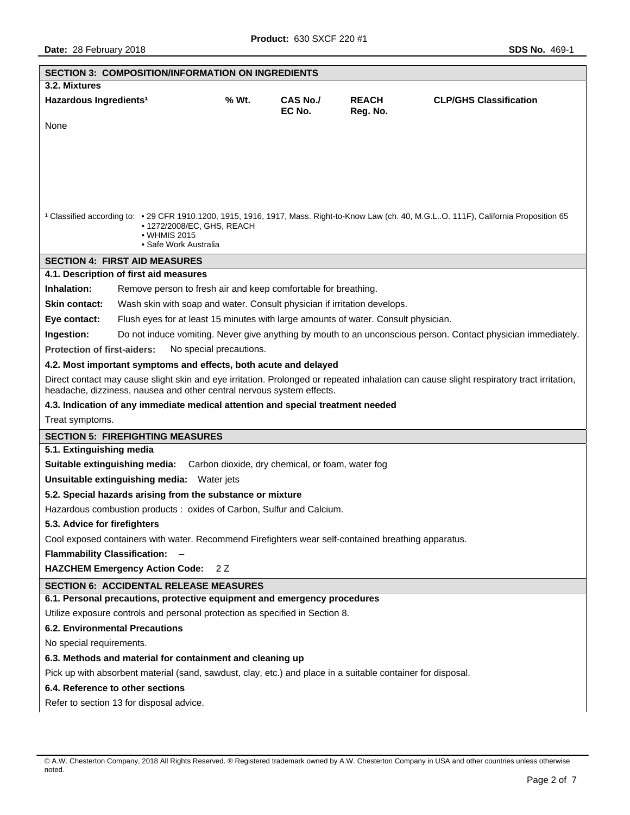| <b>SECTION 3: COMPOSITION/INFORMATION ON INGREDIENTS</b>                                                                                                                                                          |       |                           |                          |                               |  |  |
|-------------------------------------------------------------------------------------------------------------------------------------------------------------------------------------------------------------------|-------|---------------------------|--------------------------|-------------------------------|--|--|
| 3.2. Mixtures                                                                                                                                                                                                     |       |                           |                          |                               |  |  |
| Hazardous Ingredients <sup>1</sup>                                                                                                                                                                                | % Wt. | <b>CAS No./</b><br>EC No. | <b>REACH</b><br>Reg. No. | <b>CLP/GHS Classification</b> |  |  |
| None                                                                                                                                                                                                              |       |                           |                          |                               |  |  |
|                                                                                                                                                                                                                   |       |                           |                          |                               |  |  |
|                                                                                                                                                                                                                   |       |                           |                          |                               |  |  |
|                                                                                                                                                                                                                   |       |                           |                          |                               |  |  |
|                                                                                                                                                                                                                   |       |                           |                          |                               |  |  |
|                                                                                                                                                                                                                   |       |                           |                          |                               |  |  |
| <sup>1</sup> Classified according to: • 29 CFR 1910.1200, 1915, 1916, 1917, Mass. Right-to-Know Law (ch. 40, M.G.LO. 111F), California Proposition 65<br>• 1272/2008/EC, GHS, REACH                               |       |                           |                          |                               |  |  |
| • WHMIS 2015                                                                                                                                                                                                      |       |                           |                          |                               |  |  |
| • Safe Work Australia                                                                                                                                                                                             |       |                           |                          |                               |  |  |
| <b>SECTION 4: FIRST AID MEASURES</b>                                                                                                                                                                              |       |                           |                          |                               |  |  |
| 4.1. Description of first aid measures                                                                                                                                                                            |       |                           |                          |                               |  |  |
| Inhalation:<br>Remove person to fresh air and keep comfortable for breathing.                                                                                                                                     |       |                           |                          |                               |  |  |
| Skin contact:<br>Wash skin with soap and water. Consult physician if irritation develops.                                                                                                                         |       |                           |                          |                               |  |  |
| Flush eyes for at least 15 minutes with large amounts of water. Consult physician.<br>Eye contact:                                                                                                                |       |                           |                          |                               |  |  |
| Do not induce vomiting. Never give anything by mouth to an unconscious person. Contact physician immediately.<br>Ingestion:                                                                                       |       |                           |                          |                               |  |  |
| <b>Protection of first-aiders:</b><br>No special precautions.                                                                                                                                                     |       |                           |                          |                               |  |  |
| 4.2. Most important symptoms and effects, both acute and delayed                                                                                                                                                  |       |                           |                          |                               |  |  |
| Direct contact may cause slight skin and eye irritation. Prolonged or repeated inhalation can cause slight respiratory tract irritation,<br>headache, dizziness, nausea and other central nervous system effects. |       |                           |                          |                               |  |  |
| 4.3. Indication of any immediate medical attention and special treatment needed                                                                                                                                   |       |                           |                          |                               |  |  |
| Treat symptoms.                                                                                                                                                                                                   |       |                           |                          |                               |  |  |
| <b>SECTION 5: FIREFIGHTING MEASURES</b>                                                                                                                                                                           |       |                           |                          |                               |  |  |
| 5.1. Extinguishing media                                                                                                                                                                                          |       |                           |                          |                               |  |  |
| <b>Suitable extinguishing media:</b> Carbon dioxide, dry chemical, or foam, water fog                                                                                                                             |       |                           |                          |                               |  |  |
| Unsuitable extinguishing media: Water jets                                                                                                                                                                        |       |                           |                          |                               |  |  |
| 5.2. Special hazards arising from the substance or mixture                                                                                                                                                        |       |                           |                          |                               |  |  |
| Hazardous combustion products : oxides of Carbon, Sulfur and Calcium.                                                                                                                                             |       |                           |                          |                               |  |  |
| 5.3. Advice for firefighters                                                                                                                                                                                      |       |                           |                          |                               |  |  |
| Cool exposed containers with water. Recommend Firefighters wear self-contained breathing apparatus.                                                                                                               |       |                           |                          |                               |  |  |
| <b>Flammability Classification:</b>                                                                                                                                                                               |       |                           |                          |                               |  |  |
| <b>HAZCHEM Emergency Action Code:</b>                                                                                                                                                                             | 2 Z   |                           |                          |                               |  |  |
| <b>SECTION 6: ACCIDENTAL RELEASE MEASURES</b>                                                                                                                                                                     |       |                           |                          |                               |  |  |
| 6.1. Personal precautions, protective equipment and emergency procedures                                                                                                                                          |       |                           |                          |                               |  |  |
| Utilize exposure controls and personal protection as specified in Section 8.                                                                                                                                      |       |                           |                          |                               |  |  |
| <b>6.2. Environmental Precautions</b>                                                                                                                                                                             |       |                           |                          |                               |  |  |
| No special requirements.                                                                                                                                                                                          |       |                           |                          |                               |  |  |
| 6.3. Methods and material for containment and cleaning up                                                                                                                                                         |       |                           |                          |                               |  |  |
| Pick up with absorbent material (sand, sawdust, clay, etc.) and place in a suitable container for disposal.                                                                                                       |       |                           |                          |                               |  |  |
| 6.4. Reference to other sections                                                                                                                                                                                  |       |                           |                          |                               |  |  |
| Refer to section 13 for disposal advice.                                                                                                                                                                          |       |                           |                          |                               |  |  |

<sup>©</sup> A.W. Chesterton Company, 2018 All Rights Reserved. ® Registered trademark owned by A.W. Chesterton Company in USA and other countries unless otherwise noted.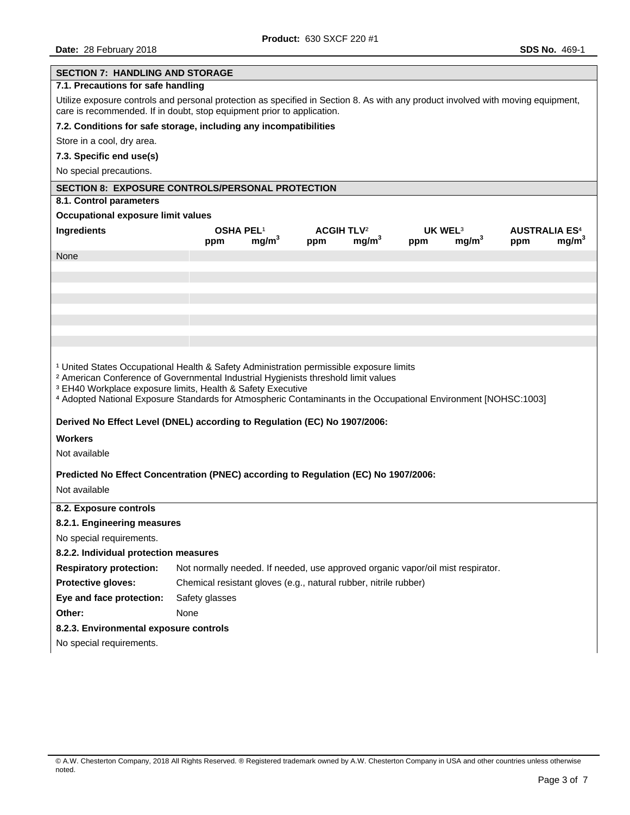| <b>SECTION 7: HANDLING AND STORAGE</b>                                                                                                                                                                                                                                                                                                                                                           |                                                                                 |                   |                                     |                   |                            |                   |                                        |                   |
|--------------------------------------------------------------------------------------------------------------------------------------------------------------------------------------------------------------------------------------------------------------------------------------------------------------------------------------------------------------------------------------------------|---------------------------------------------------------------------------------|-------------------|-------------------------------------|-------------------|----------------------------|-------------------|----------------------------------------|-------------------|
| 7.1. Precautions for safe handling                                                                                                                                                                                                                                                                                                                                                               |                                                                                 |                   |                                     |                   |                            |                   |                                        |                   |
| Utilize exposure controls and personal protection as specified in Section 8. As with any product involved with moving equipment,<br>care is recommended. If in doubt, stop equipment prior to application.                                                                                                                                                                                       |                                                                                 |                   |                                     |                   |                            |                   |                                        |                   |
| 7.2. Conditions for safe storage, including any incompatibilities                                                                                                                                                                                                                                                                                                                                |                                                                                 |                   |                                     |                   |                            |                   |                                        |                   |
| Store in a cool, dry area.                                                                                                                                                                                                                                                                                                                                                                       |                                                                                 |                   |                                     |                   |                            |                   |                                        |                   |
| 7.3. Specific end use(s)                                                                                                                                                                                                                                                                                                                                                                         |                                                                                 |                   |                                     |                   |                            |                   |                                        |                   |
| No special precautions.                                                                                                                                                                                                                                                                                                                                                                          |                                                                                 |                   |                                     |                   |                            |                   |                                        |                   |
| <b>SECTION 8: EXPOSURE CONTROLS/PERSONAL PROTECTION</b>                                                                                                                                                                                                                                                                                                                                          |                                                                                 |                   |                                     |                   |                            |                   |                                        |                   |
| 8.1. Control parameters                                                                                                                                                                                                                                                                                                                                                                          |                                                                                 |                   |                                     |                   |                            |                   |                                        |                   |
| Occupational exposure limit values                                                                                                                                                                                                                                                                                                                                                               |                                                                                 |                   |                                     |                   |                            |                   |                                        |                   |
| Ingredients                                                                                                                                                                                                                                                                                                                                                                                      | OSHA PEL <sup>1</sup><br>ppm                                                    | mg/m <sup>3</sup> | <b>ACGIH TLV<sup>2</sup></b><br>ppm | mg/m <sup>3</sup> | UK WEL <sup>3</sup><br>ppm | mg/m <sup>3</sup> | <b>AUSTRALIA ES<sup>4</sup></b><br>ppm | mg/m <sup>3</sup> |
| None                                                                                                                                                                                                                                                                                                                                                                                             |                                                                                 |                   |                                     |                   |                            |                   |                                        |                   |
|                                                                                                                                                                                                                                                                                                                                                                                                  |                                                                                 |                   |                                     |                   |                            |                   |                                        |                   |
|                                                                                                                                                                                                                                                                                                                                                                                                  |                                                                                 |                   |                                     |                   |                            |                   |                                        |                   |
|                                                                                                                                                                                                                                                                                                                                                                                                  |                                                                                 |                   |                                     |                   |                            |                   |                                        |                   |
|                                                                                                                                                                                                                                                                                                                                                                                                  |                                                                                 |                   |                                     |                   |                            |                   |                                        |                   |
|                                                                                                                                                                                                                                                                                                                                                                                                  |                                                                                 |                   |                                     |                   |                            |                   |                                        |                   |
|                                                                                                                                                                                                                                                                                                                                                                                                  |                                                                                 |                   |                                     |                   |                            |                   |                                        |                   |
| <sup>1</sup> United States Occupational Health & Safety Administration permissible exposure limits<br><sup>2</sup> American Conference of Governmental Industrial Hygienists threshold limit values<br><sup>3</sup> EH40 Workplace exposure limits, Health & Safety Executive<br>4 Adopted National Exposure Standards for Atmospheric Contaminants in the Occupational Environment [NOHSC:1003] |                                                                                 |                   |                                     |                   |                            |                   |                                        |                   |
| Derived No Effect Level (DNEL) according to Regulation (EC) No 1907/2006:                                                                                                                                                                                                                                                                                                                        |                                                                                 |                   |                                     |                   |                            |                   |                                        |                   |
| <b>Workers</b>                                                                                                                                                                                                                                                                                                                                                                                   |                                                                                 |                   |                                     |                   |                            |                   |                                        |                   |
| Not available                                                                                                                                                                                                                                                                                                                                                                                    |                                                                                 |                   |                                     |                   |                            |                   |                                        |                   |
| Predicted No Effect Concentration (PNEC) according to Regulation (EC) No 1907/2006:<br>Not available                                                                                                                                                                                                                                                                                             |                                                                                 |                   |                                     |                   |                            |                   |                                        |                   |
| 8.2. Exposure controls                                                                                                                                                                                                                                                                                                                                                                           |                                                                                 |                   |                                     |                   |                            |                   |                                        |                   |
| 8.2.1. Engineering measures                                                                                                                                                                                                                                                                                                                                                                      |                                                                                 |                   |                                     |                   |                            |                   |                                        |                   |
| No special requirements.                                                                                                                                                                                                                                                                                                                                                                         |                                                                                 |                   |                                     |                   |                            |                   |                                        |                   |
| 8.2.2. Individual protection measures                                                                                                                                                                                                                                                                                                                                                            |                                                                                 |                   |                                     |                   |                            |                   |                                        |                   |
| <b>Respiratory protection:</b>                                                                                                                                                                                                                                                                                                                                                                   | Not normally needed. If needed, use approved organic vapor/oil mist respirator. |                   |                                     |                   |                            |                   |                                        |                   |
| Protective gloves:                                                                                                                                                                                                                                                                                                                                                                               | Chemical resistant gloves (e.g., natural rubber, nitrile rubber)                |                   |                                     |                   |                            |                   |                                        |                   |
| Eye and face protection:                                                                                                                                                                                                                                                                                                                                                                         | Safety glasses                                                                  |                   |                                     |                   |                            |                   |                                        |                   |
| Other:                                                                                                                                                                                                                                                                                                                                                                                           | None                                                                            |                   |                                     |                   |                            |                   |                                        |                   |
| 8.2.3. Environmental exposure controls                                                                                                                                                                                                                                                                                                                                                           |                                                                                 |                   |                                     |                   |                            |                   |                                        |                   |
| No special requirements.                                                                                                                                                                                                                                                                                                                                                                         |                                                                                 |                   |                                     |                   |                            |                   |                                        |                   |
|                                                                                                                                                                                                                                                                                                                                                                                                  |                                                                                 |                   |                                     |                   |                            |                   |                                        |                   |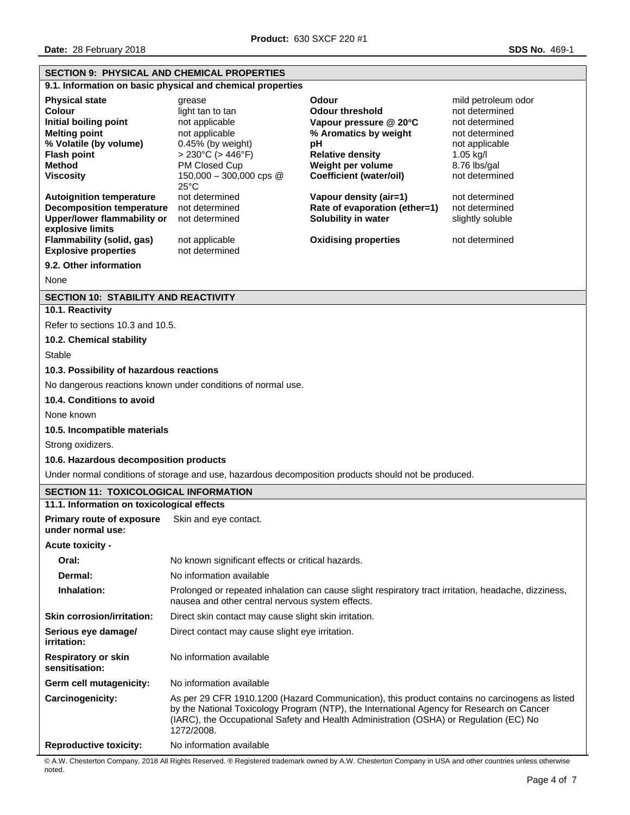| <b>SECTION 9: PHYSICAL AND CHEMICAL PROPERTIES</b>                                                                                                                                        |                                                                                                                                                                                                                                                                                                     |                                                                                                                                          |                                                                                                                            |  |  |  |
|-------------------------------------------------------------------------------------------------------------------------------------------------------------------------------------------|-----------------------------------------------------------------------------------------------------------------------------------------------------------------------------------------------------------------------------------------------------------------------------------------------------|------------------------------------------------------------------------------------------------------------------------------------------|----------------------------------------------------------------------------------------------------------------------------|--|--|--|
|                                                                                                                                                                                           | 9.1. Information on basic physical and chemical properties                                                                                                                                                                                                                                          |                                                                                                                                          |                                                                                                                            |  |  |  |
| <b>Physical state</b><br>Colour<br>Initial boiling point<br><b>Melting point</b><br>% Volatile (by volume)<br><b>Flash point</b><br><b>Method</b>                                         | grease<br>light tan to tan<br>not applicable<br>not applicable<br>$0.45%$ (by weight)<br>$> 230^{\circ}$ C ( $> 446^{\circ}$ F)<br>PM Closed Cup                                                                                                                                                    | Odour<br><b>Odour threshold</b><br>Vapour pressure @ 20°C<br>% Aromatics by weight<br>pH<br><b>Relative density</b><br>Weight per volume | mild petroleum odor<br>not determined<br>not determined<br>not determined<br>not applicable<br>$1.05$ kg/l<br>8.76 lbs/gal |  |  |  |
| <b>Viscosity</b>                                                                                                                                                                          | 150,000 - 300,000 cps $@$<br>$25^{\circ}$ C                                                                                                                                                                                                                                                         | Coefficient (water/oil)                                                                                                                  | not determined                                                                                                             |  |  |  |
| <b>Autoignition temperature</b><br><b>Decomposition temperature</b><br><b>Upper/lower flammability or</b><br>explosive limits<br>Flammability (solid, gas)<br><b>Explosive properties</b> | not determined<br>not determined<br>not determined<br>not applicable<br>not determined                                                                                                                                                                                                              | Vapour density (air=1)<br>Rate of evaporation (ether=1)<br>Solubility in water<br><b>Oxidising properties</b>                            | not determined<br>not determined<br>slightly soluble<br>not determined                                                     |  |  |  |
| 9.2. Other information                                                                                                                                                                    |                                                                                                                                                                                                                                                                                                     |                                                                                                                                          |                                                                                                                            |  |  |  |
| None                                                                                                                                                                                      |                                                                                                                                                                                                                                                                                                     |                                                                                                                                          |                                                                                                                            |  |  |  |
| <b>SECTION 10: STABILITY AND REACTIVITY</b>                                                                                                                                               |                                                                                                                                                                                                                                                                                                     |                                                                                                                                          |                                                                                                                            |  |  |  |
| 10.1. Reactivity                                                                                                                                                                          |                                                                                                                                                                                                                                                                                                     |                                                                                                                                          |                                                                                                                            |  |  |  |
| Refer to sections 10.3 and 10.5.                                                                                                                                                          |                                                                                                                                                                                                                                                                                                     |                                                                                                                                          |                                                                                                                            |  |  |  |
| 10.2. Chemical stability                                                                                                                                                                  |                                                                                                                                                                                                                                                                                                     |                                                                                                                                          |                                                                                                                            |  |  |  |
| <b>Stable</b>                                                                                                                                                                             |                                                                                                                                                                                                                                                                                                     |                                                                                                                                          |                                                                                                                            |  |  |  |
| 10.3. Possibility of hazardous reactions                                                                                                                                                  |                                                                                                                                                                                                                                                                                                     |                                                                                                                                          |                                                                                                                            |  |  |  |
|                                                                                                                                                                                           | No dangerous reactions known under conditions of normal use.                                                                                                                                                                                                                                        |                                                                                                                                          |                                                                                                                            |  |  |  |
| 10.4. Conditions to avoid                                                                                                                                                                 |                                                                                                                                                                                                                                                                                                     |                                                                                                                                          |                                                                                                                            |  |  |  |
| None known                                                                                                                                                                                |                                                                                                                                                                                                                                                                                                     |                                                                                                                                          |                                                                                                                            |  |  |  |
| 10.5. Incompatible materials                                                                                                                                                              |                                                                                                                                                                                                                                                                                                     |                                                                                                                                          |                                                                                                                            |  |  |  |
| Strong oxidizers.                                                                                                                                                                         |                                                                                                                                                                                                                                                                                                     |                                                                                                                                          |                                                                                                                            |  |  |  |
| 10.6. Hazardous decomposition products                                                                                                                                                    |                                                                                                                                                                                                                                                                                                     |                                                                                                                                          |                                                                                                                            |  |  |  |
| Under normal conditions of storage and use, hazardous decomposition products should not be produced.                                                                                      |                                                                                                                                                                                                                                                                                                     |                                                                                                                                          |                                                                                                                            |  |  |  |
| <b>SECTION 11: TOXICOLOGICAL INFORMATION</b>                                                                                                                                              |                                                                                                                                                                                                                                                                                                     |                                                                                                                                          |                                                                                                                            |  |  |  |
| 11.1. Information on toxicological effects                                                                                                                                                |                                                                                                                                                                                                                                                                                                     |                                                                                                                                          |                                                                                                                            |  |  |  |
| <b>Primary route of exposure</b><br>under normal use:                                                                                                                                     | Skin and eye contact.                                                                                                                                                                                                                                                                               |                                                                                                                                          |                                                                                                                            |  |  |  |
| Acute toxicity -                                                                                                                                                                          |                                                                                                                                                                                                                                                                                                     |                                                                                                                                          |                                                                                                                            |  |  |  |
| Oral:                                                                                                                                                                                     | No known significant effects or critical hazards.                                                                                                                                                                                                                                                   |                                                                                                                                          |                                                                                                                            |  |  |  |
| Dermal:                                                                                                                                                                                   | No information available                                                                                                                                                                                                                                                                            |                                                                                                                                          |                                                                                                                            |  |  |  |
| Inhalation:                                                                                                                                                                               | Prolonged or repeated inhalation can cause slight respiratory tract irritation, headache, dizziness,<br>nausea and other central nervous system effects.                                                                                                                                            |                                                                                                                                          |                                                                                                                            |  |  |  |
| <b>Skin corrosion/irritation:</b>                                                                                                                                                         | Direct skin contact may cause slight skin irritation.                                                                                                                                                                                                                                               |                                                                                                                                          |                                                                                                                            |  |  |  |
| Serious eye damagel<br><i>irritation:</i>                                                                                                                                                 | Direct contact may cause slight eye irritation.                                                                                                                                                                                                                                                     |                                                                                                                                          |                                                                                                                            |  |  |  |
| <b>Respiratory or skin</b><br>sensitisation:                                                                                                                                              | No information available                                                                                                                                                                                                                                                                            |                                                                                                                                          |                                                                                                                            |  |  |  |
| Germ cell mutagenicity:                                                                                                                                                                   | No information available                                                                                                                                                                                                                                                                            |                                                                                                                                          |                                                                                                                            |  |  |  |
| Carcinogenicity:                                                                                                                                                                          | As per 29 CFR 1910.1200 (Hazard Communication), this product contains no carcinogens as listed<br>by the National Toxicology Program (NTP), the International Agency for Research on Cancer<br>(IARC), the Occupational Safety and Health Administration (OSHA) or Regulation (EC) No<br>1272/2008. |                                                                                                                                          |                                                                                                                            |  |  |  |
| <b>Reproductive toxicity:</b>                                                                                                                                                             | No information available                                                                                                                                                                                                                                                                            |                                                                                                                                          |                                                                                                                            |  |  |  |

© A.W. Chesterton Company, 2018 All Rights Reserved. ® Registered trademark owned by A.W. Chesterton Company in USA and other countries unless otherwise noted.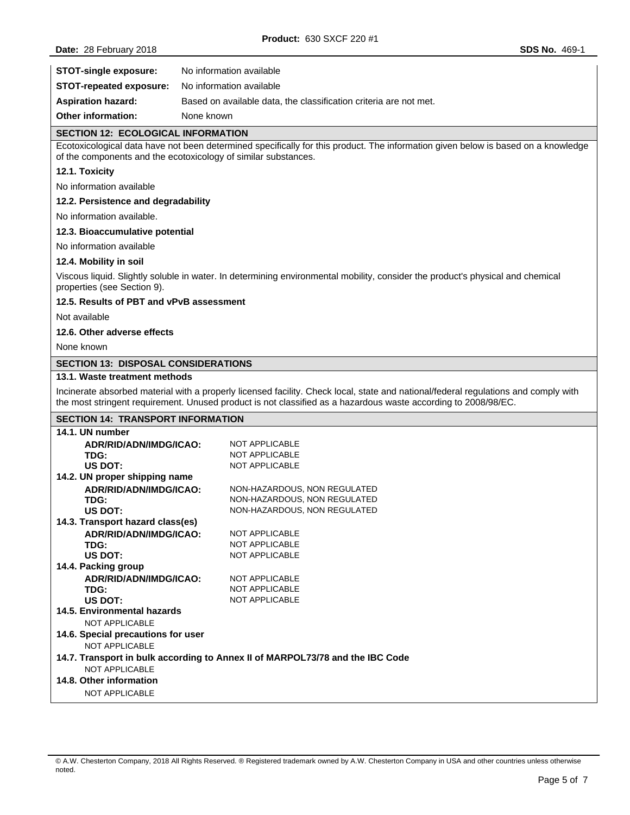| <b>STOT-single exposure:</b>   | No information available                                          |
|--------------------------------|-------------------------------------------------------------------|
| <b>STOT-repeated exposure:</b> | No information available                                          |
| <b>Aspiration hazard:</b>      | Based on available data, the classification criteria are not met. |
| <b>Other information:</b>      | None known                                                        |

#### **SECTION 12: ECOLOGICAL INFORMATION**

Ecotoxicological data have not been determined specifically for this product. The information given below is based on a knowledge of the components and the ecotoxicology of similar substances.

#### **12.1. Toxicity**

No information available

#### **12.2. Persistence and degradability**

No information available.

#### **12.3. Bioaccumulative potential**

No information available

#### **12.4. Mobility in soil**

Viscous liquid. Slightly soluble in water. In determining environmental mobility, consider the product's physical and chemical properties (see Section 9).

#### **12.5. Results of PBT and vPvB assessment**

Not available

### **12.6. Other adverse effects**

None known

#### **SECTION 13: DISPOSAL CONSIDERATIONS**

#### **13.1. Waste treatment methods**

Incinerate absorbed material with a properly licensed facility. Check local, state and national/federal regulations and comply with the most stringent requirement. Unused product is not classified as a hazardous waste according to 2008/98/EC.

## **SECTION 14: TRANSPORT INFORMATION**

| 14.1. UN number                                                               |                              |  |  |
|-------------------------------------------------------------------------------|------------------------------|--|--|
| ADR/RID/ADN/IMDG/ICAO:                                                        | NOT APPLICABLE               |  |  |
| TDG:                                                                          | <b>NOT APPLICABLE</b>        |  |  |
| US DOT:                                                                       | <b>NOT APPLICABLE</b>        |  |  |
| 14.2. UN proper shipping name                                                 |                              |  |  |
| ADR/RID/ADN/IMDG/ICAO:                                                        | NON-HAZARDOUS, NON REGULATED |  |  |
| TDG:                                                                          | NON-HAZARDOUS, NON REGULATED |  |  |
| US DOT:                                                                       | NON-HAZARDOUS, NON REGULATED |  |  |
| 14.3. Transport hazard class(es)                                              |                              |  |  |
| ADR/RID/ADN/IMDG/ICAO:                                                        | NOT APPLICABLE               |  |  |
| TDG:                                                                          | <b>NOT APPLICABLE</b>        |  |  |
| US DOT:                                                                       | <b>NOT APPLICABLE</b>        |  |  |
| 14.4. Packing group                                                           |                              |  |  |
| ADR/RID/ADN/IMDG/ICAO:                                                        | NOT APPLICABLE               |  |  |
| TDG:                                                                          | <b>NOT APPLICABLE</b>        |  |  |
| US DOT:                                                                       | <b>NOT APPLICABLE</b>        |  |  |
| 14.5. Environmental hazards                                                   |                              |  |  |
| NOT APPLICABLE                                                                |                              |  |  |
| 14.6. Special precautions for user                                            |                              |  |  |
| NOT APPLICABLE                                                                |                              |  |  |
| 14.7. Transport in bulk according to Annex II of MARPOL73/78 and the IBC Code |                              |  |  |
| NOT APPLICABLE                                                                |                              |  |  |
| 14.8. Other information                                                       |                              |  |  |
| <b>NOT APPLICABLE</b>                                                         |                              |  |  |

<sup>©</sup> A.W. Chesterton Company, 2018 All Rights Reserved. ® Registered trademark owned by A.W. Chesterton Company in USA and other countries unless otherwise noted.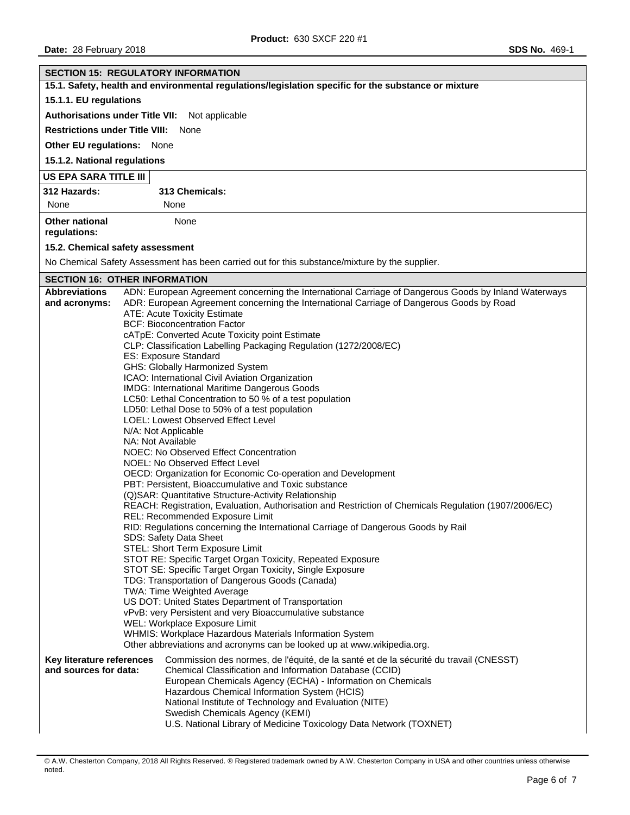| <b>SECTION 15: REGULATORY INFORMATION</b>                                                            |  |                                                                                                                                                                                                                                                                                                                                                                                                                                                                                                                                                                                                                                                                                                                                                                                                                                                                                                                                                                                                                                                                                                                                                                                                                                                                                                                                                                                                                                                                                                                                                                                                                                                                                                                                                                                                                                  |  |  |
|------------------------------------------------------------------------------------------------------|--|----------------------------------------------------------------------------------------------------------------------------------------------------------------------------------------------------------------------------------------------------------------------------------------------------------------------------------------------------------------------------------------------------------------------------------------------------------------------------------------------------------------------------------------------------------------------------------------------------------------------------------------------------------------------------------------------------------------------------------------------------------------------------------------------------------------------------------------------------------------------------------------------------------------------------------------------------------------------------------------------------------------------------------------------------------------------------------------------------------------------------------------------------------------------------------------------------------------------------------------------------------------------------------------------------------------------------------------------------------------------------------------------------------------------------------------------------------------------------------------------------------------------------------------------------------------------------------------------------------------------------------------------------------------------------------------------------------------------------------------------------------------------------------------------------------------------------------|--|--|
| 15.1. Safety, health and environmental regulations/legislation specific for the substance or mixture |  |                                                                                                                                                                                                                                                                                                                                                                                                                                                                                                                                                                                                                                                                                                                                                                                                                                                                                                                                                                                                                                                                                                                                                                                                                                                                                                                                                                                                                                                                                                                                                                                                                                                                                                                                                                                                                                  |  |  |
| 15.1.1. EU regulations                                                                               |  |                                                                                                                                                                                                                                                                                                                                                                                                                                                                                                                                                                                                                                                                                                                                                                                                                                                                                                                                                                                                                                                                                                                                                                                                                                                                                                                                                                                                                                                                                                                                                                                                                                                                                                                                                                                                                                  |  |  |
| Authorisations under Title VII: Not applicable                                                       |  |                                                                                                                                                                                                                                                                                                                                                                                                                                                                                                                                                                                                                                                                                                                                                                                                                                                                                                                                                                                                                                                                                                                                                                                                                                                                                                                                                                                                                                                                                                                                                                                                                                                                                                                                                                                                                                  |  |  |
| <b>Restrictions under Title VIII:</b>                                                                |  | None                                                                                                                                                                                                                                                                                                                                                                                                                                                                                                                                                                                                                                                                                                                                                                                                                                                                                                                                                                                                                                                                                                                                                                                                                                                                                                                                                                                                                                                                                                                                                                                                                                                                                                                                                                                                                             |  |  |
| <b>Other EU regulations:</b> None                                                                    |  |                                                                                                                                                                                                                                                                                                                                                                                                                                                                                                                                                                                                                                                                                                                                                                                                                                                                                                                                                                                                                                                                                                                                                                                                                                                                                                                                                                                                                                                                                                                                                                                                                                                                                                                                                                                                                                  |  |  |
| 15.1.2. National regulations                                                                         |  |                                                                                                                                                                                                                                                                                                                                                                                                                                                                                                                                                                                                                                                                                                                                                                                                                                                                                                                                                                                                                                                                                                                                                                                                                                                                                                                                                                                                                                                                                                                                                                                                                                                                                                                                                                                                                                  |  |  |
| US EPA SARA TITLE III                                                                                |  |                                                                                                                                                                                                                                                                                                                                                                                                                                                                                                                                                                                                                                                                                                                                                                                                                                                                                                                                                                                                                                                                                                                                                                                                                                                                                                                                                                                                                                                                                                                                                                                                                                                                                                                                                                                                                                  |  |  |
| 312 Hazards:                                                                                         |  | 313 Chemicals:                                                                                                                                                                                                                                                                                                                                                                                                                                                                                                                                                                                                                                                                                                                                                                                                                                                                                                                                                                                                                                                                                                                                                                                                                                                                                                                                                                                                                                                                                                                                                                                                                                                                                                                                                                                                                   |  |  |
| None                                                                                                 |  | None                                                                                                                                                                                                                                                                                                                                                                                                                                                                                                                                                                                                                                                                                                                                                                                                                                                                                                                                                                                                                                                                                                                                                                                                                                                                                                                                                                                                                                                                                                                                                                                                                                                                                                                                                                                                                             |  |  |
| <b>Other national</b><br>regulations:                                                                |  | None                                                                                                                                                                                                                                                                                                                                                                                                                                                                                                                                                                                                                                                                                                                                                                                                                                                                                                                                                                                                                                                                                                                                                                                                                                                                                                                                                                                                                                                                                                                                                                                                                                                                                                                                                                                                                             |  |  |
| 15.2. Chemical safety assessment                                                                     |  |                                                                                                                                                                                                                                                                                                                                                                                                                                                                                                                                                                                                                                                                                                                                                                                                                                                                                                                                                                                                                                                                                                                                                                                                                                                                                                                                                                                                                                                                                                                                                                                                                                                                                                                                                                                                                                  |  |  |
|                                                                                                      |  | No Chemical Safety Assessment has been carried out for this substance/mixture by the supplier.                                                                                                                                                                                                                                                                                                                                                                                                                                                                                                                                                                                                                                                                                                                                                                                                                                                                                                                                                                                                                                                                                                                                                                                                                                                                                                                                                                                                                                                                                                                                                                                                                                                                                                                                   |  |  |
| <b>SECTION 16: OTHER INFORMATION</b>                                                                 |  |                                                                                                                                                                                                                                                                                                                                                                                                                                                                                                                                                                                                                                                                                                                                                                                                                                                                                                                                                                                                                                                                                                                                                                                                                                                                                                                                                                                                                                                                                                                                                                                                                                                                                                                                                                                                                                  |  |  |
| <b>Abbreviations</b><br>and acronyms:                                                                |  | ADN: European Agreement concerning the International Carriage of Dangerous Goods by Inland Waterways<br>ADR: European Agreement concerning the International Carriage of Dangerous Goods by Road<br>ATE: Acute Toxicity Estimate<br><b>BCF: Bioconcentration Factor</b><br>cATpE: Converted Acute Toxicity point Estimate<br>CLP: Classification Labelling Packaging Regulation (1272/2008/EC)<br>ES: Exposure Standard<br>GHS: Globally Harmonized System<br>ICAO: International Civil Aviation Organization<br>IMDG: International Maritime Dangerous Goods<br>LC50: Lethal Concentration to 50 % of a test population<br>LD50: Lethal Dose to 50% of a test population<br>LOEL: Lowest Observed Effect Level<br>N/A: Not Applicable<br>NA: Not Available<br>NOEC: No Observed Effect Concentration<br>NOEL: No Observed Effect Level<br>OECD: Organization for Economic Co-operation and Development<br>PBT: Persistent, Bioaccumulative and Toxic substance<br>(Q)SAR: Quantitative Structure-Activity Relationship<br>REACH: Registration, Evaluation, Authorisation and Restriction of Chemicals Regulation (1907/2006/EC)<br>REL: Recommended Exposure Limit<br>RID: Regulations concerning the International Carriage of Dangerous Goods by Rail<br><b>SDS: Safety Data Sheet</b><br>STEL: Short Term Exposure Limit<br>STOT RE: Specific Target Organ Toxicity, Repeated Exposure<br>STOT SE: Specific Target Organ Toxicity, Single Exposure<br>TDG: Transportation of Dangerous Goods (Canada)<br>TWA: Time Weighted Average<br>US DOT: United States Department of Transportation<br>vPvB: very Persistent and very Bioaccumulative substance<br>WEL: Workplace Exposure Limit<br>WHMIS: Workplace Hazardous Materials Information System<br>Other abbreviations and acronyms can be looked up at www.wikipedia.org. |  |  |
| Key literature references<br>and sources for data:                                                   |  | Commission des normes, de l'équité, de la santé et de la sécurité du travail (CNESST)<br>Chemical Classification and Information Database (CCID)<br>European Chemicals Agency (ECHA) - Information on Chemicals<br>Hazardous Chemical Information System (HCIS)<br>National Institute of Technology and Evaluation (NITE)<br>Swedish Chemicals Agency (KEMI)<br>U.S. National Library of Medicine Toxicology Data Network (TOXNET)                                                                                                                                                                                                                                                                                                                                                                                                                                                                                                                                                                                                                                                                                                                                                                                                                                                                                                                                                                                                                                                                                                                                                                                                                                                                                                                                                                                               |  |  |